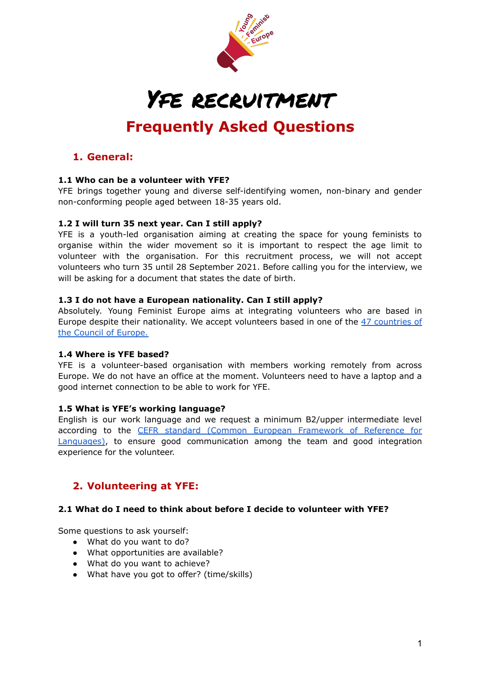

# Yfe recruitment

# **Frequently Asked Questions**

### **1. General:**

#### **1.1 Who can be a volunteer with YFE?**

YFE brings together young and diverse self-identifying women, non-binary and gender non-conforming people aged between 18-35 years old.

#### **1.2 I will turn 35 next year. Can I still apply?**

YFE is a youth-led organisation aiming at creating the space for young feminists to organise within the wider movement so it is important to respect the age limit to volunteer with the organisation. For this recruitment process, we will not accept volunteers who turn 35 until 28 September 2021. Before calling you for the interview, we will be asking for a document that states the date of birth.

#### **1.3 I do not have a European nationality. Can I still apply?**

Absolutely. Young Feminist Europe aims at integrating volunteers who are based in Europe despite their nationality. We accept volunteers based in one of the 47 [countries](https://www.coe.int/en/web/portal/47-members-states) of the Council of [Europe.](https://www.coe.int/en/web/portal/47-members-states)

#### **1.4 Where is YFE based?**

YFE is a volunteer-based organisation with members working remotely from across Europe. We do not have an office at the moment. Volunteers need to have a laptop and a good internet connection to be able to work for YFE.

#### **1.5 What is YFE's working language?**

English is our work language and we request a minimum B2/upper intermediate level according to the CEFR standard (Common European [Framework](https://www.coe.int/en/web/common-european-framework-reference-languages/table-1-cefr-3.3-common-reference-levels-global-scale) of Reference for [Languages\)](https://www.coe.int/en/web/common-european-framework-reference-languages/table-1-cefr-3.3-common-reference-levels-global-scale), to ensure good communication among the team and good integration experience for the volunteer.

# **2. Volunteering at YFE:**

#### **2.1 What do I need to think about before I decide to volunteer with YFE?**

Some questions to ask yourself:

- What do you want to do?
- What opportunities are available?
- What do you want to achieve?
- What have you got to offer? (time/skills)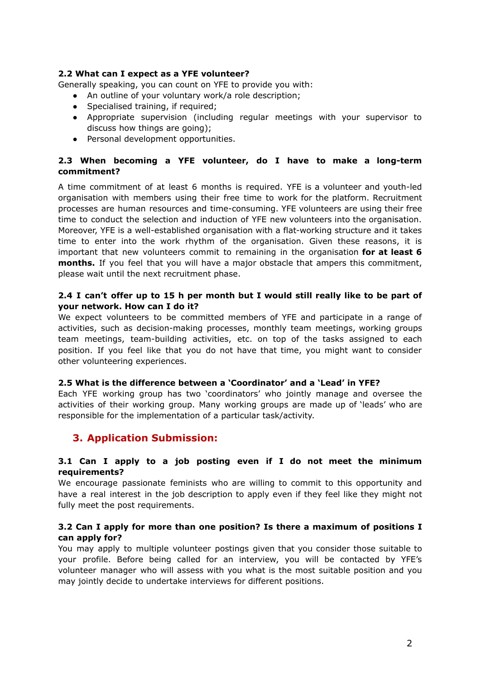#### **2.2 What can I expect as a YFE volunteer?**

Generally speaking, you can count on YFE to provide you with:

- An outline of your voluntary work/a role description;
- Specialised training, if required;
- Appropriate supervision (including regular meetings with your supervisor to discuss how things are going);
- Personal development opportunities.

#### **2.3 When becoming a YFE volunteer, do I have to make a long-term commitment?**

A time commitment of at least 6 months is required. YFE is a volunteer and youth-led organisation with members using their free time to work for the platform. Recruitment processes are human resources and time-consuming. YFE volunteers are using their free time to conduct the selection and induction of YFE new volunteers into the organisation. Moreover, YFE is a well-established organisation with a flat-working structure and it takes time to enter into the work rhythm of the organisation. Given these reasons, it is important that new volunteers commit to remaining in the organisation **for at least 6 months.** If you feel that you will have a major obstacle that ampers this commitment, please wait until the next recruitment phase.

#### **2.4 I can't offer up to 15 h per month but I would still really like to be part of your network. How can I do it?**

We expect volunteers to be committed members of YFE and participate in a range of activities, such as decision-making processes, monthly team meetings, working groups team meetings, team-building activities, etc. on top of the tasks assigned to each position. If you feel like that you do not have that time, you might want to consider other volunteering experiences.

#### **2.5 What is the difference between a 'Coordinator' and a 'Lead' in YFE?**

Each YFE working group has two 'coordinators' who jointly manage and oversee the activities of their working group. Many working groups are made up of 'leads' who are responsible for the implementation of a particular task/activity.

# **3. Application Submission:**

#### **3.1 Can I apply to a job posting even if I do not meet the minimum requirements?**

We encourage passionate feminists who are willing to commit to this opportunity and have a real interest in the job description to apply even if they feel like they might not fully meet the post requirements.

#### **3.2 Can I apply for more than one position? Is there a maximum of positions I can apply for?**

You may apply to multiple volunteer postings given that you consider those suitable to your profile. Before being called for an interview, you will be contacted by YFE's volunteer manager who will assess with you what is the most suitable position and you may jointly decide to undertake interviews for different positions.